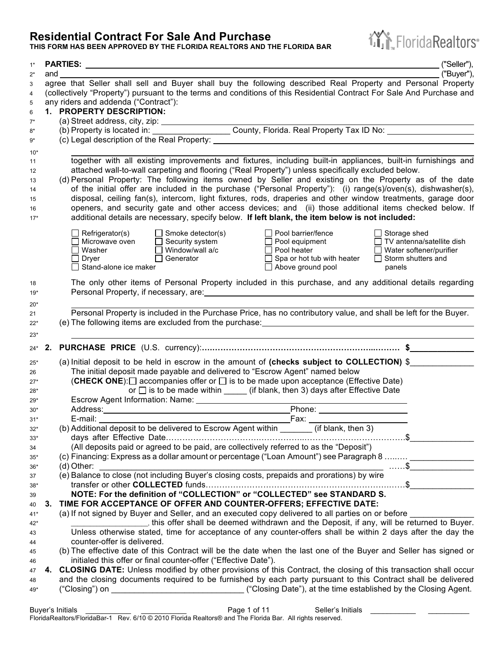# **Residential Contract For Sale And Purchase**

**THIS FORM HAS BEEN APPROVED BY THE FLORIDA REALTORS AND THE FLORIDA BAR**

*in* Florida Realtors<sup>®</sup>

|                | <b>PARTIES:</b>                                                                                                                                                                                                                |                          |                                                                                                                                                                                                                                |                                | ("Seller"), |
|----------------|--------------------------------------------------------------------------------------------------------------------------------------------------------------------------------------------------------------------------------|--------------------------|--------------------------------------------------------------------------------------------------------------------------------------------------------------------------------------------------------------------------------|--------------------------------|-------------|
| and            |                                                                                                                                                                                                                                |                          |                                                                                                                                                                                                                                |                                | ("Buyer"),  |
|                |                                                                                                                                                                                                                                |                          | agree that Seller shall sell and Buyer shall buy the following described Real Property and Personal Property                                                                                                                   |                                |             |
|                |                                                                                                                                                                                                                                |                          | (collectively "Property") pursuant to the terms and conditions of this Residential Contract For Sale And Purchase and                                                                                                          |                                |             |
|                | any riders and addenda ("Contract"):                                                                                                                                                                                           |                          |                                                                                                                                                                                                                                |                                |             |
|                | 1. PROPERTY DESCRIPTION:                                                                                                                                                                                                       |                          |                                                                                                                                                                                                                                |                                |             |
|                |                                                                                                                                                                                                                                |                          |                                                                                                                                                                                                                                |                                |             |
|                |                                                                                                                                                                                                                                |                          |                                                                                                                                                                                                                                |                                |             |
|                |                                                                                                                                                                                                                                |                          |                                                                                                                                                                                                                                |                                |             |
|                |                                                                                                                                                                                                                                |                          |                                                                                                                                                                                                                                |                                |             |
|                |                                                                                                                                                                                                                                |                          | together with all existing improvements and fixtures, including built-in appliances, built-in furnishings and                                                                                                                  |                                |             |
|                |                                                                                                                                                                                                                                |                          | attached wall-to-wall carpeting and flooring ("Real Property") unless specifically excluded below.                                                                                                                             |                                |             |
|                |                                                                                                                                                                                                                                |                          | (d) Personal Property: The following items owned by Seller and existing on the Property as of the date                                                                                                                         |                                |             |
|                |                                                                                                                                                                                                                                |                          | of the initial offer are included in the purchase ("Personal Property"): (i) range(s)/oven(s), dishwasher(s),                                                                                                                  |                                |             |
|                |                                                                                                                                                                                                                                |                          | disposal, ceiling fan(s), intercom, light fixtures, rods, draperies and other window treatments, garage door                                                                                                                   |                                |             |
|                |                                                                                                                                                                                                                                |                          | openers, and security gate and other access devices; and (ii) those additional items checked below. If                                                                                                                         |                                |             |
|                |                                                                                                                                                                                                                                |                          | additional details are necessary, specify below. If left blank, the item below is not included:                                                                                                                                |                                |             |
|                | $\Box$ Refrigerator(s)                                                                                                                                                                                                         | $\Box$ Smoke detector(s) | $\Box$ Pool barrier/fence                                                                                                                                                                                                      | $\Box$ Storage shed            |             |
|                | □ Microwave oven                                                                                                                                                                                                               | $\Box$ Security system   | $\Box$ Pool equipment                                                                                                                                                                                                          | □ TV antenna/satellite dish    |             |
|                | $\Box$ Washer                                                                                                                                                                                                                  | $\Box$ Window/wall a/c   | $\Box$ Pool heater                                                                                                                                                                                                             | $\Box$ Water softener/purifier |             |
|                | $\Box$ Dryer                                                                                                                                                                                                                   | $\Box$ Generator         | $\Box$ Spa or hot tub with heater                                                                                                                                                                                              | $\Box$ Storm shutters and      |             |
|                | $\Box$ Stand-alone ice maker                                                                                                                                                                                                   |                          | $\Box$ Above ground pool                                                                                                                                                                                                       | panels                         |             |
|                |                                                                                                                                                                                                                                |                          | The only other items of Personal Property included in this purchase, and any additional details regarding                                                                                                                      |                                |             |
|                |                                                                                                                                                                                                                                |                          | Personal Property, if necessary, are: example and the set of the set of the set of the set of the set of the set of the set of the set of the set of the set of the set of the set of the set of the set of the set of the set |                                |             |
|                |                                                                                                                                                                                                                                |                          |                                                                                                                                                                                                                                |                                |             |
|                |                                                                                                                                                                                                                                |                          |                                                                                                                                                                                                                                |                                |             |
|                |                                                                                                                                                                                                                                |                          |                                                                                                                                                                                                                                |                                |             |
|                |                                                                                                                                                                                                                                |                          | Personal Property is included in the Purchase Price, has no contributory value, and shall be left for the Buyer.                                                                                                               |                                |             |
|                |                                                                                                                                                                                                                                |                          |                                                                                                                                                                                                                                |                                |             |
|                |                                                                                                                                                                                                                                |                          |                                                                                                                                                                                                                                |                                |             |
|                |                                                                                                                                                                                                                                |                          |                                                                                                                                                                                                                                |                                |             |
|                |                                                                                                                                                                                                                                |                          | (a) Initial deposit to be held in escrow in the amount of (checks subject to COLLECTION) \$                                                                                                                                    |                                |             |
|                |                                                                                                                                                                                                                                |                          | The initial deposit made payable and delivered to "Escrow Agent" named below                                                                                                                                                   |                                |             |
|                |                                                                                                                                                                                                                                |                          | (CHECK ONE): $\Box$ accompanies offer or $\Box$ is to be made upon acceptance (Effective Date)                                                                                                                                 |                                |             |
|                |                                                                                                                                                                                                                                |                          | or $\Box$ is to be made within _______ (if blank, then 3) days after Effective Date                                                                                                                                            |                                |             |
|                |                                                                                                                                                                                                                                |                          |                                                                                                                                                                                                                                |                                |             |
|                |                                                                                                                                                                                                                                |                          |                                                                                                                                                                                                                                |                                |             |
|                | E-mail: E-mail: E-mail: E-mail: E-mail: E-mail: E-mail: E-mail: E-mail: E-mail: E-mail: E-mail: E-mail: E-mail: E-mail: E-mail: E-mail: E-mail: E-mail: E-mail: E-mail: E-mail: E-mail: E-mail: E-mail: E-mail: E-mail: E-mail |                          |                                                                                                                                                                                                                                |                                |             |
|                | (b) Additional deposit to be delivered to Escrow Agent within _                                                                                                                                                                |                          | $($ if blank, then 3)                                                                                                                                                                                                          |                                |             |
|                |                                                                                                                                                                                                                                |                          |                                                                                                                                                                                                                                |                                |             |
|                |                                                                                                                                                                                                                                |                          | (All deposits paid or agreed to be paid, are collectively referred to as the "Deposit")                                                                                                                                        |                                |             |
|                |                                                                                                                                                                                                                                |                          | (c) Financing: Express as a dollar amount or percentage ("Loan Amount") see Paragraph 8                                                                                                                                        |                                |             |
|                | (d) Other:                                                                                                                                                                                                                     |                          |                                                                                                                                                                                                                                |                                |             |
|                |                                                                                                                                                                                                                                |                          | (e) Balance to close (not including Buyer's closing costs, prepaids and prorations) by wire                                                                                                                                    |                                |             |
|                |                                                                                                                                                                                                                                |                          |                                                                                                                                                                                                                                |                                |             |
|                |                                                                                                                                                                                                                                |                          | NOTE: For the definition of "COLLECTION" or "COLLECTED" see STANDARD S.                                                                                                                                                        |                                |             |
|                |                                                                                                                                                                                                                                |                          | TIME FOR ACCEPTANCE OF OFFER AND COUNTER-OFFERS; EFFECTIVE DATE:                                                                                                                                                               |                                |             |
|                |                                                                                                                                                                                                                                |                          | (a) If not signed by Buyer and Seller, and an executed copy delivered to all parties on or before                                                                                                                              |                                |             |
|                |                                                                                                                                                                                                                                |                          | this offer shall be deemed withdrawn and the Deposit, if any, will be returned to Buyer.                                                                                                                                       |                                |             |
|                |                                                                                                                                                                                                                                |                          | Unless otherwise stated, time for acceptance of any counter-offers shall be within 2 days after the day the                                                                                                                    |                                |             |
|                | counter-offer is delivered.                                                                                                                                                                                                    |                          |                                                                                                                                                                                                                                |                                |             |
|                |                                                                                                                                                                                                                                |                          | (b) The effective date of this Contract will be the date when the last one of the Buyer and Seller has signed or                                                                                                               |                                |             |
|                | initialed this offer or final counter-offer ("Effective Date").                                                                                                                                                                |                          |                                                                                                                                                                                                                                |                                |             |
| 2.<br>3.<br>4. |                                                                                                                                                                                                                                |                          | CLOSING DATE: Unless modified by other provisions of this Contract, the closing of this transaction shall occur                                                                                                                |                                |             |
|                |                                                                                                                                                                                                                                |                          | and the closing documents required to be furnished by each party pursuant to this Contract shall be delivered                                                                                                                  |                                |             |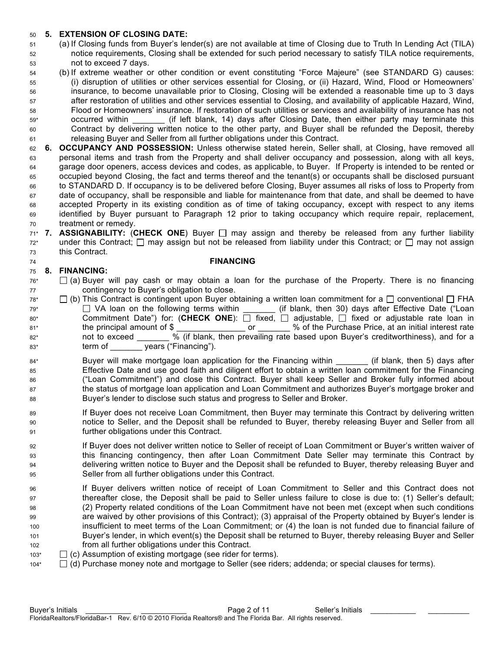## **5. EXTENSION OF CLOSING DATE:**

- (a) If Closing funds from Buyer's lender(s) are not available at time of Closing due to Truth In Lending Act (TILA) notice requirements, Closing shall be extended for such period necessary to satisfy TILA notice requirements, not to exceed 7 days.
- (b) If extreme weather or other condition or event constituting "Force Majeure" (see STANDARD G) causes: (i) disruption of utilities or other services essential for Closing, or (ii) Hazard, Wind, Flood or Homeowners' insurance, to become unavailable prior to Closing, Closing will be extended a reasonable time up to 3 days
- after restoration of utilities and other services essential to Closing, and availability of applicable Hazard, Wind, Flood or Homeowners' insurance. If restoration of such utilities or services and availability of insurance has not 59\* occurred within \_\_\_\_\_\_\_ (if left blank, 14) days after Closing Date, then either party may terminate this Contract by delivering written notice to the other party, and Buyer shall be refunded the Deposit, thereby
- releasing Buyer and Seller from all further obligations under this Contract. **6. OCCUPANCY AND POSSESSION:** Unless otherwise stated herein, Seller shall, at Closing, have removed all personal items and trash from the Property and shall deliver occupancy and possession, along with all keys, garage door openers, access devices and codes, as applicable, to Buyer. If Property is intended to be rented or occupied beyond Closing, the fact and terms thereof and the tenant(s) or occupants shall be disclosed pursuant to STANDARD D. If occupancy is to be delivered before Closing, Buyer assumes all risks of loss to Property from date of occupancy, shall be responsible and liable for maintenance from that date, and shall be deemed to have accepted Property in its existing condition as of time of taking occupancy, except with respect to any items identified by Buyer pursuant to Paragraph 12 prior to taking occupancy which require repair, replacement, treatment or remedy.
- 71<sup>\*</sup> **7. ASSIGNABILITY:** (CHECK ONE) Buyer  $\Box$  may assign and thereby be released from any further liability  $72^*$  under this Contract;  $\Box$  may assign but not be released from liability under this Contract; or  $\Box$  may not assign this Contract.

#### **8. FINANCING:**

#### **FINANCING**

- $76*$   $\Box$  (a) Buyer will pay cash or may obtain a loan for the purchase of the Property. There is no financing contingency to Buyer's obligation to close.
- $78^*$   $\Box$  (b) This Contract is contingent upon Buyer obtaining a written loan commitment for a  $\Box$  conventional  $\Box$  FHA  $79^*$   $\Box$  VA loan on the following terms within  $\Box$  (if blank, then 30) days after Effective Date ("Loan 80<sup>\*</sup> Commitment Date") for: (CHECK ONE):  $\Box$  fixed,  $\Box$  adjustable,  $\Box$  fixed or adjustable rate loan in 81<sup>\*</sup> the principal amount of \$  $\qquad \qquad$  or  $\qquad \qquad$  % of the Purchase Price, at an initial interest rate 82\* not to exceed \_\_\_\_\_\_\_ % (if blank, then prevailing rate based upon Buyer's creditworthiness), and for a 83\* term of years ("Financing").
- 84\* Buyer will make mortgage loan application for the Financing within \_\_\_\_\_\_\_ (if blank, then 5) days after Effective Date and use good faith and diligent effort to obtain a written loan commitment for the Financing ("Loan Commitment") and close this Contract. Buyer shall keep Seller and Broker fully informed about 87 the status of mortgage loan application and Loan Commitment and authorizes Buyer's mortgage broker and Buyer's lender to disclose such status and progress to Seller and Broker.
- 89 If Buyer does not receive Loan Commitment, then Buyer may terminate this Contract by delivering written notice to Seller, and the Deposit shall be refunded to Buyer, thereby releasing Buyer and Seller from all further obligations under this Contract.
- 92 If Buyer does not deliver written notice to Seller of receipt of Loan Commitment or Buyer's written waiver of this financing contingency, then after Loan Commitment Date Seller may terminate this Contract by delivering written notice to Buyer and the Deposit shall be refunded to Buyer, thereby releasing Buyer and Seller from all further obligations under this Contract.
- If Buyer delivers written notice of receipt of Loan Commitment to Seller and this Contract does not thereafter close, the Deposit shall be paid to Seller unless failure to close is due to: (1) Seller's default; (2) Property related conditions of the Loan Commitment have not been met (except when such conditions are waived by other provisions of this Contract); (3) appraisal of the Property obtained by Buyer's lender is insufficient to meet terms of the Loan Commitment; or (4) the loan is not funded due to financial failure of Buyer's lender, in which event(s) the Deposit shall be returned to Buyer, thereby releasing Buyer and Seller from all further obligations under this Contract.
- $103^*$   $\Box$  (c) Assumption of existing mortgage (see rider for terms).
- $104^*$   $\Box$  (d) Purchase money note and mortgage to Seller (see riders; addenda; or special clauses for terms).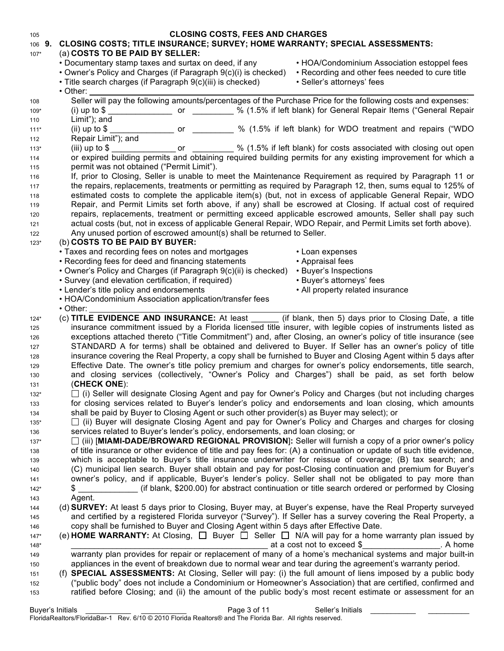| $107*$ | (a) COSTS TO BE PAID BY SELLER:                                                                                      |
|--------|----------------------------------------------------------------------------------------------------------------------|
|        | • Documentary stamp taxes and surtax on deed, if any<br>• HOA/Condominium Association estoppel fees                  |
|        | • Owner's Policy and Charges (if Paragraph 9(c)(i) is checked)<br>• Recording and other fees needed to cure title    |
|        | • Title search charges (if Paragraph 9(c)(iii) is checked)<br>· Seller's attorneys' fees                             |
|        | $\cdot$ Other: $\_$                                                                                                  |
| 108    | Seller will pay the following amounts/percentages of the Purchase Price for the following costs and expenses:        |
| 109*   |                                                                                                                      |
| 110    | Limit"); and                                                                                                         |
| $111*$ | (ii) up to $$$                                                                                                       |
| 112    | Repair Limit"); and                                                                                                  |
| $113*$ | (iii) up to \$                                                                                                       |
| 114    | or expired building permits and obtaining required building permits for any existing improvement for which a         |
| 115    | permit was not obtained ("Permit Limit").                                                                            |
| 116    | If, prior to Closing, Seller is unable to meet the Maintenance Requirement as required by Paragraph 11 or            |
| 117    | the repairs, replacements, treatments or permitting as required by Paragraph 12, then, sums equal to 125% of         |
| 118    | estimated costs to complete the applicable item(s) (but, not in excess of applicable General Repair, WDO             |
| 119    | Repair, and Permit Limits set forth above, if any) shall be escrowed at Closing. If actual cost of required          |
| 120    | repairs, replacements, treatment or permitting exceed applicable escrowed amounts, Seller shall pay such             |
| 121    | actual costs (but, not in excess of applicable General Repair, WDO Repair, and Permit Limits set forth above).       |
| 122    | Any unused portion of escrowed amount(s) shall be returned to Seller.                                                |
| $123*$ | (b) COSTS TO BE PAID BY BUYER:                                                                                       |
|        | • Taxes and recording fees on notes and mortgages<br>• Loan expenses                                                 |
|        | • Recording fees for deed and financing statements<br>• Appraisal fees                                               |
|        | • Owner's Policy and Charges (if Paragraph 9(c)(ii) is checked)<br>• Buyer's Inspections                             |
|        | • Survey (and elevation certification, if required)<br>• Buyer's attorneys' fees                                     |
|        | • Lender's title policy and endorsements<br>• All property related insurance                                         |
|        | • HOA/Condominium Association application/transfer fees                                                              |
|        | • Other:                                                                                                             |
|        | (c) TITLE EVIDENCE AND INSURANCE: At least ______ (if blank, then 5) days prior to Closing Date, a title             |
| $124*$ | insurance commitment issued by a Florida licensed title insurer, with legible copies of instruments listed as        |
| 125    | exceptions attached thereto ("Title Commitment") and, after Closing, an owner's policy of title insurance (see       |
| 126    | STANDARD A for terms) shall be obtained and delivered to Buyer. If Seller has an owner's policy of title             |
| 127    |                                                                                                                      |
| 128    | insurance covering the Real Property, a copy shall be furnished to Buyer and Closing Agent within 5 days after       |
| 129    | Effective Date. The owner's title policy premium and charges for owner's policy endorsements, title search,          |
| 130    | and closing services (collectively, "Owner's Policy and Charges") shall be paid, as set forth below                  |
| 131    | (CHECK ONE):                                                                                                         |
| $132*$ | $\Box$ (i) Seller will designate Closing Agent and pay for Owner's Policy and Charges (but not including charges     |
| 133    | for closing services related to Buyer's lender's policy and endorsements and loan closing, which amounts             |
| 134    | shall be paid by Buyer to Closing Agent or such other provider(s) as Buyer may select); or                           |
| 135*   | $\Box$ (ii) Buyer will designate Closing Agent and pay for Owner's Policy and Charges and charges for closing        |
| 136    | services related to Buyer's lender's policy, endorsements, and loan closing; or                                      |
| $137*$ | $\Box$ (iii) [MIAMI-DADE/BROWARD REGIONAL PROVISION]: Seller will furnish a copy of a prior owner's policy           |
| 138    | of title insurance or other evidence of title and pay fees for: (A) a continuation or update of such title evidence, |
| 139    | which is acceptable to Buyer's title insurance underwriter for reissue of coverage; (B) tax search; and              |
| 140    | (C) municipal lien search. Buyer shall obtain and pay for post-Closing continuation and premium for Buyer's          |
| 141    | owner's policy, and if applicable, Buyer's lender's policy. Seller shall not be obligated to pay more than           |
| $142*$ | (if blank, \$200.00) for abstract continuation or title search ordered or performed by Closing<br>\$                 |
| 143    | Agent.                                                                                                               |
| 144    | (d) SURVEY: At least 5 days prior to Closing, Buyer may, at Buyer's expense, have the Real Property surveyed         |
| 145    | and certified by a registered Florida surveyor ("Survey"). If Seller has a survey covering the Real Property, a      |
| 146    | copy shall be furnished to Buyer and Closing Agent within 5 days after Effective Date.                               |
| $147*$ | (e) HOME WARRANTY: At Closing, □ Buyer □ Seller □ N/A will pay for a home warranty plan issued by                    |
| $148*$ | at a cost not to exceed \$<br><b>Example 2.</b> A home                                                               |
| 149    | warranty plan provides for repair or replacement of many of a home's mechanical systems and major built-in           |
| 150    | appliances in the event of breakdown due to normal wear and tear during the agreement's warranty period.             |
| 151    | (f) SPECIAL ASSESSMENTS: At Closing, Seller will pay: (i) the full amount of liens imposed by a public body          |
| 152    | ("public body" does not include a Condominium or Homeowner's Association) that are certified, confirmed and          |
| 153    | ratified before Closing; and (ii) the amount of the public body's most recent estimate or assessment for an          |

105 **CLOSING COSTS, FEES AND CHARGES**

106 **9. CLOSING COSTS; TITLE INSURANCE; SURVEY; HOME WARRANTY; SPECIAL ASSESSMENTS:**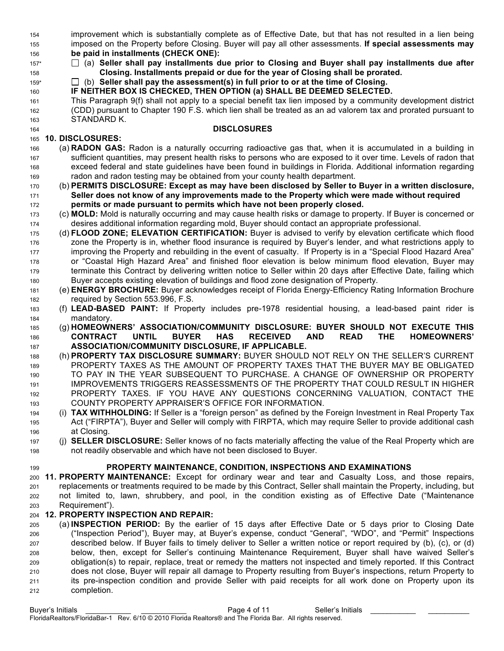| 154<br>155 | improvement which is substantially complete as of Effective Date, but that has not resulted in a lien being<br>imposed on the Property before Closing. Buyer will pay all other assessments. If special assessments may           |  |
|------------|-----------------------------------------------------------------------------------------------------------------------------------------------------------------------------------------------------------------------------------|--|
| 156        | be paid in installments (CHECK ONE):                                                                                                                                                                                              |  |
| $157*$     | $\Box$ (a) Seller shall pay installments due prior to Closing and Buyer shall pay installments due after                                                                                                                          |  |
| 158        | Closing. Installments prepaid or due for the year of Closing shall be prorated.                                                                                                                                                   |  |
| $159*$     | (b) Seller shall pay the assessment(s) in full prior to or at the time of Closing.                                                                                                                                                |  |
| 160        | IF NEITHER BOX IS CHECKED, THEN OPTION (a) SHALL BE DEEMED SELECTED.                                                                                                                                                              |  |
| 161        | This Paragraph 9(f) shall not apply to a special benefit tax lien imposed by a community development district                                                                                                                     |  |
| 162        | (CDD) pursuant to Chapter 190 F.S. which lien shall be treated as an ad valorem tax and prorated pursuant to                                                                                                                      |  |
| 163        | STANDARD K.<br><b>DISCLOSURES</b>                                                                                                                                                                                                 |  |
| 164        | 10. DISCLOSURES:                                                                                                                                                                                                                  |  |
| 165        |                                                                                                                                                                                                                                   |  |
| 166        | (a) RADON GAS: Radon is a naturally occurring radioactive gas that, when it is accumulated in a building in                                                                                                                       |  |
| 167        | sufficient quantities, may present health risks to persons who are exposed to it over time. Levels of radon that<br>exceed federal and state guidelines have been found in buildings in Florida. Additional information regarding |  |
| 168        | radon and radon testing may be obtained from your county health department.                                                                                                                                                       |  |
| 169        | (b) PERMITS DISCLOSURE: Except as may have been disclosed by Seller to Buyer in a written disclosure,                                                                                                                             |  |
| 170        | Seller does not know of any improvements made to the Property which were made without required                                                                                                                                    |  |
| 171        | permits or made pursuant to permits which have not been properly closed.                                                                                                                                                          |  |
| 172        | (c) MOLD: Mold is naturally occurring and may cause health risks or damage to property. If Buyer is concerned or                                                                                                                  |  |
| 173        | desires additional information regarding mold, Buyer should contact an appropriate professional.                                                                                                                                  |  |
| 174        | (d) FLOOD ZONE; ELEVATION CERTIFICATION: Buyer is advised to verify by elevation certificate which flood                                                                                                                          |  |
| 175        | zone the Property is in, whether flood insurance is required by Buyer's lender, and what restrictions apply to                                                                                                                    |  |
| 176<br>177 | improving the Property and rebuilding in the event of casualty. If Property is in a "Special Flood Hazard Area"                                                                                                                   |  |
| 178        | or "Coastal High Hazard Area" and finished floor elevation is below minimum flood elevation, Buyer may                                                                                                                            |  |
| 179        | terminate this Contract by delivering written notice to Seller within 20 days after Effective Date, failing which                                                                                                                 |  |
| 180        | Buyer accepts existing elevation of buildings and flood zone designation of Property.                                                                                                                                             |  |
| 181        | (e) ENERGY BROCHURE: Buyer acknowledges receipt of Florida Energy-Efficiency Rating Information Brochure                                                                                                                          |  |
| 182        | required by Section 553.996, F.S.                                                                                                                                                                                                 |  |
| 183        | (f) LEAD-BASED PAINT: If Property includes pre-1978 residential housing, a lead-based paint rider is                                                                                                                              |  |
| 184        | mandatory.                                                                                                                                                                                                                        |  |
| 185        | (g) HOMEOWNERS' ASSOCIATION/COMMUNITY DISCLOSURE: BUYER SHOULD NOT EXECUTE THIS                                                                                                                                                   |  |
| 186        | <b>CONTRACT</b><br><b>UNTIL</b><br><b>BUYER</b><br><b>HAS</b><br><b>RECEIVED</b><br><b>AND</b><br><b>READ</b><br><b>THE</b><br><b>HOMEOWNERS'</b>                                                                                 |  |
| 187        | ASSOCIATION/COMMUNITY DISCLOSURE, IF APPLICABLE.                                                                                                                                                                                  |  |
| 188        | (h) PROPERTY TAX DISCLOSURE SUMMARY: BUYER SHOULD NOT RELY ON THE SELLER'S CURRENT                                                                                                                                                |  |
| 189        | PROPERTY TAXES AS THE AMOUNT OF PROPERTY TAXES THAT THE BUYER MAY BE OBLIGATED                                                                                                                                                    |  |
| 190        | TO PAY IN THE YEAR SUBSEQUENT TO PURCHASE. A CHANGE OF OWNERSHIP OR PROPERTY                                                                                                                                                      |  |
| 191        | <b>IMPROVEMENTS TRIGGERS REASSESSMENTS OF THE PROPERTY THAT COULD RESULT IN HIGHER</b>                                                                                                                                            |  |
| 192        | PROPERTY TAXES. IF YOU HAVE ANY QUESTIONS CONCERNING VALUATION, CONTACT THE                                                                                                                                                       |  |
| 193        | COUNTY PROPERTY APPRAISER'S OFFICE FOR INFORMATION.                                                                                                                                                                               |  |
| 194        | (i) TAX WITHHOLDING: If Seller is a "foreign person" as defined by the Foreign Investment in Real Property Tax                                                                                                                    |  |
| 195        | Act ("FIRPTA"), Buyer and Seller will comply with FIRPTA, which may require Seller to provide additional cash                                                                                                                     |  |
| 196        | at Closing.                                                                                                                                                                                                                       |  |
| 197        | (j) SELLER DISCLOSURE: Seller knows of no facts materially affecting the value of the Real Property which are                                                                                                                     |  |
| 198        | not readily observable and which have not been disclosed to Buyer.                                                                                                                                                                |  |
|            |                                                                                                                                                                                                                                   |  |
| 199        | PROPERTY MAINTENANCE, CONDITION, INSPECTIONS AND EXAMINATIONS                                                                                                                                                                     |  |
| 200        | 11. PROPERTY MAINTENANCE: Except for ordinary wear and tear and Casualty Loss, and those repairs,                                                                                                                                 |  |
| 201        | replacements or treatments required to be made by this Contract, Seller shall maintain the Property, including, but                                                                                                               |  |
| 202        | not limited to, lawn, shrubbery, and pool, in the condition existing as of Effective Date ("Maintenance                                                                                                                           |  |
| 203        | Requirement").                                                                                                                                                                                                                    |  |
| 204        | <b>12. PROPERTY INSPECTION AND REPAIR:</b>                                                                                                                                                                                        |  |
| 205        | (a) INSPECTION PERIOD: By the earlier of 15 days after Effective Date or 5 days prior to Closing Date                                                                                                                             |  |
| 206        | ("Inspection Period"), Buyer may, at Buyer's expense, conduct "General", "WDO", and "Permit" Inspections                                                                                                                          |  |
| 207        | described below. If Buyer fails to timely deliver to Seller a written notice or report required by (b), (c), or (d)                                                                                                               |  |
| 208        | below, then, except for Seller's continuing Maintenance Requirement, Buyer shall have waived Seller's                                                                                                                             |  |
| 209        | obligation(s) to repair, replace, treat or remedy the matters not inspected and timely reported. If this Contract                                                                                                                 |  |
| 210        | does not close, Buyer will repair all damage to Property resulting from Buyer's inspections, return Property to                                                                                                                   |  |
| 211        | its pre-inspection condition and provide Seller with paid receipts for all work done on Property upon its                                                                                                                         |  |

completion.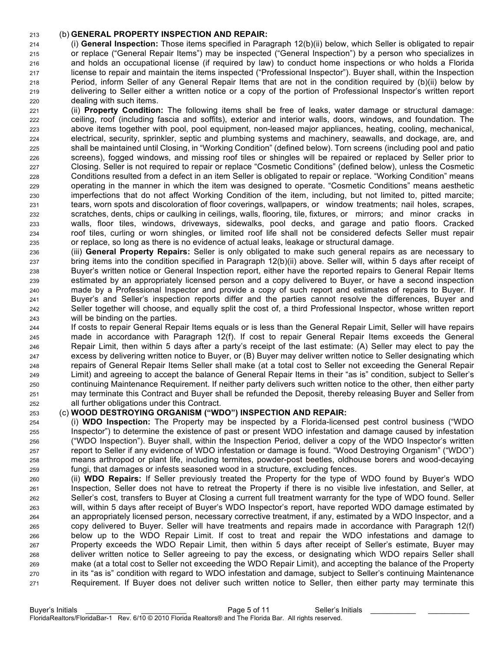#### (b) **GENERAL PROPERTY INSPECTION AND REPAIR:**

 (i) **General Inspection:** Those items specified in Paragraph 12(b)(ii) below, which Seller is obligated to repair or replace ("General Repair Items") may be inspected ("General Inspection") by a person who specializes in and holds an occupational license (if required by law) to conduct home inspections or who holds a Florida license to repair and maintain the items inspected ("Professional Inspector"). Buyer shall, within the Inspection Period, inform Seller of any General Repair Items that are not in the condition required by (b)(ii) below by delivering to Seller either a written notice or a copy of the portion of Professional Inspector's written report dealing with such items.

 (ii) **Property Condition:** The following items shall be free of leaks, water damage or structural damage: ceiling, roof (including fascia and soffits), exterior and interior walls, doors, windows, and foundation. The above items together with pool, pool equipment, non-leased major appliances, heating, cooling, mechanical, electrical, security, sprinkler, septic and plumbing systems and machinery, seawalls, and dockage, are, and shall be maintained until Closing, in "Working Condition" (defined below). Torn screens (including pool and patio screens), fogged windows, and missing roof tiles or shingles will be repaired or replaced by Seller prior to Closing. Seller is not required to repair or replace "Cosmetic Conditions" (defined below), unless the Cosmetic Conditions resulted from a defect in an item Seller is obligated to repair or replace. "Working Condition" means operating in the manner in which the item was designed to operate. "Cosmetic Conditions" means aesthetic imperfections that do not affect Working Condition of the item, including, but not limited to, pitted marcite; tears, worn spots and discoloration of floor coverings, wallpapers, or window treatments; nail holes, scrapes, scratches, dents, chips or caulking in ceilings, walls, flooring, tile, fixtures, or mirrors; and minor cracks in walls, floor tiles, windows, driveways, sidewalks, pool decks, and garage and patio floors. Cracked roof tiles, curling or worn shingles, or limited roof life shall not be considered defects Seller must repair or replace, so long as there is no evidence of actual leaks, leakage or structural damage.

- (iii) **General Property Repairs:** Seller is only obligated to make such general repairs as are necessary to bring items into the condition specified in Paragraph 12(b)(ii) above. Seller will, within 5 days after receipt of Buyer's written notice or General Inspection report, either have the reported repairs to General Repair Items estimated by an appropriately licensed person and a copy delivered to Buyer, or have a second inspection made by a Professional Inspector and provide a copy of such report and estimates of repairs to Buyer. If Buyer's and Seller's inspection reports differ and the parties cannot resolve the differences, Buyer and Seller together will choose, and equally split the cost of, a third Professional Inspector, whose written report will be binding on the parties.
- If costs to repair General Repair Items equals or is less than the General Repair Limit, Seller will have repairs made in accordance with Paragraph 12(f). If cost to repair General Repair Items exceeds the General Repair Limit, then within 5 days after a party's receipt of the last estimate: (A) Seller may elect to pay the excess by delivering written notice to Buyer, or (B) Buyer may deliver written notice to Seller designating which repairs of General Repair Items Seller shall make (at a total cost to Seller not exceeding the General Repair Limit) and agreeing to accept the balance of General Repair Items in their "as is" condition, subject to Seller's continuing Maintenance Requirement. If neither party delivers such written notice to the other, then either party may terminate this Contract and Buyer shall be refunded the Deposit, thereby releasing Buyer and Seller from all further obligations under this Contract.

## (c) **WOOD DESTROYING ORGANISM ("WDO") INSPECTION AND REPAIR:**

 (i) **WDO Inspection:** The Property may be inspected by a Florida-licensed pest control business ("WDO Inspector") to determine the existence of past or present WDO infestation and damage caused by infestation ("WDO Inspection"). Buyer shall, within the Inspection Period, deliver a copy of the WDO Inspector's written report to Seller if any evidence of WDO infestation or damage is found. "Wood Destroying Organism" ("WDO") means arthropod or plant life, including termites, powder-post beetles, oldhouse borers and wood-decaying fungi, that damages or infests seasoned wood in a structure, excluding fences.

 (ii) **WDO Repairs:** If Seller previously treated the Property for the type of WDO found by Buyer's WDO Inspection, Seller does not have to retreat the Property if there is no visible live infestation, and Seller, at Seller's cost, transfers to Buyer at Closing a current full treatment warranty for the type of WDO found. Seller will, within 5 days after receipt of Buyer's WDO Inspector's report, have reported WDO damage estimated by an appropriately licensed person, necessary corrective treatment, if any, estimated by a WDO Inspector, and a copy delivered to Buyer. Seller will have treatments and repairs made in accordance with Paragraph 12(f) below up to the WDO Repair Limit. If cost to treat and repair the WDO infestations and damage to Property exceeds the WDO Repair Limit, then within 5 days after receipt of Seller's estimate, Buyer may deliver written notice to Seller agreeing to pay the excess, or designating which WDO repairs Seller shall make (at a total cost to Seller not exceeding the WDO Repair Limit), and accepting the balance of the Property in its "as is" condition with regard to WDO infestation and damage, subject to Seller's continuing Maintenance Requirement. If Buyer does not deliver such written notice to Seller, then either party may terminate this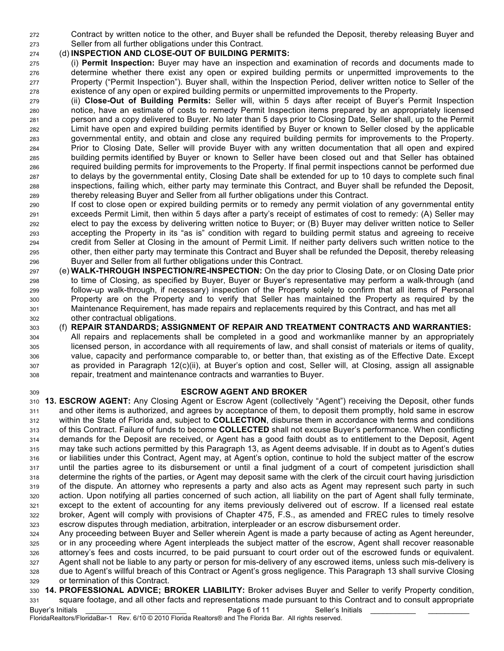Contract by written notice to the other, and Buyer shall be refunded the Deposit, thereby releasing Buyer and Seller from all further obligations under this Contract.

## (d) **INSPECTION AND CLOSE-OUT OF BUILDING PERMITS:**

 (i) **Permit Inspection:** Buyer may have an inspection and examination of records and documents made to determine whether there exist any open or expired building permits or unpermitted improvements to the Property ("Permit Inspection"). Buyer shall, within the Inspection Period, deliver written notice to Seller of the existence of any open or expired building permits or unpermitted improvements to the Property.

 (ii) **Close-Out of Building Permits:** Seller will, within 5 days after receipt of Buyer's Permit Inspection notice, have an estimate of costs to remedy Permit Inspection items prepared by an appropriately licensed person and a copy delivered to Buyer. No later than 5 days prior to Closing Date, Seller shall, up to the Permit Limit have open and expired building permits identified by Buyer or known to Seller closed by the applicable governmental entity, and obtain and close any required building permits for improvements to the Property. Prior to Closing Date, Seller will provide Buyer with any written documentation that all open and expired building permits identified by Buyer or known to Seller have been closed out and that Seller has obtained required building permits for improvements to the Property. If final permit inspections cannot be performed due to delays by the governmental entity, Closing Date shall be extended for up to 10 days to complete such final inspections, failing which, either party may terminate this Contract, and Buyer shall be refunded the Deposit, thereby releasing Buyer and Seller from all further obligations under this Contract.

 If cost to close open or expired building permits or to remedy any permit violation of any governmental entity exceeds Permit Limit, then within 5 days after a party's receipt of estimates of cost to remedy: (A) Seller may elect to pay the excess by delivering written notice to Buyer; or (B) Buyer may deliver written notice to Seller accepting the Property in its "as is" condition with regard to building permit status and agreeing to receive credit from Seller at Closing in the amount of Permit Limit. If neither party delivers such written notice to the other, then either party may terminate this Contract and Buyer shall be refunded the Deposit, thereby releasing Buyer and Seller from all further obligations under this Contract.

- (e) **WALK-THROUGH INSPECTION/RE-INSPECTION:** On the day prior to Closing Date, or on Closing Date prior to time of Closing, as specified by Buyer, Buyer or Buyer's representative may perform a walk-through (and follow-up walk-through, if necessary) inspection of the Property solely to confirm that all items of Personal Property are on the Property and to verify that Seller has maintained the Property as required by the Maintenance Requirement, has made repairs and replacements required by this Contract, and has met all other contractual obligations.
- (f) **REPAIR STANDARDS; ASSIGNMENT OF REPAIR AND TREATMENT CONTRACTS AND WARRANTIES:** All repairs and replacements shall be completed in a good and workmanlike manner by an appropriately licensed person, in accordance with all requirements of law, and shall consist of materials or items of quality, value, capacity and performance comparable to, or better than, that existing as of the Effective Date. Except as provided in Paragraph 12(c)(ii), at Buyer's option and cost, Seller will, at Closing, assign all assignable repair, treatment and maintenance contracts and warranties to Buyer.

## **ESCROW AGENT AND BROKER**

 **13. ESCROW AGENT:** Any Closing Agent or Escrow Agent (collectively "Agent") receiving the Deposit, other funds and other items is authorized, and agrees by acceptance of them, to deposit them promptly, hold same in escrow within the State of Florida and, subject to **COLLECTION**, disburse them in accordance with terms and conditions of this Contract. Failure of funds to become **COLLECTED** shall not excuse Buyer's performance. When conflicting demands for the Deposit are received, or Agent has a good faith doubt as to entitlement to the Deposit, Agent may take such actions permitted by this Paragraph 13, as Agent deems advisable. If in doubt as to Agent's duties or liabilities under this Contract, Agent may, at Agent's option, continue to hold the subject matter of the escrow until the parties agree to its disbursement or until a final judgment of a court of competent jurisdiction shall determine the rights of the parties, or Agent may deposit same with the clerk of the circuit court having jurisdiction of the dispute. An attorney who represents a party and also acts as Agent may represent such party in such action. Upon notifying all parties concerned of such action, all liability on the part of Agent shall fully terminate, except to the extent of accounting for any items previously delivered out of escrow. If a licensed real estate broker, Agent will comply with provisions of Chapter 475, F.S., as amended and FREC rules to timely resolve escrow disputes through mediation, arbitration, interpleader or an escrow disbursement order.

 Any proceeding between Buyer and Seller wherein Agent is made a party because of acting as Agent hereunder, or in any proceeding where Agent interpleads the subject matter of the escrow, Agent shall recover reasonable attorney's fees and costs incurred, to be paid pursuant to court order out of the escrowed funds or equivalent. Agent shall not be liable to any party or person for mis-delivery of any escrowed items, unless such mis-delivery is due to Agent's willful breach of this Contract or Agent's gross negligence. This Paragraph 13 shall survive Closing or termination of this Contract.

 **14. PROFESSIONAL ADVICE; BROKER LIABILITY:** Broker advises Buyer and Seller to verify Property condition, square footage, and all other facts and representations made pursuant to this Contract and to consult appropriate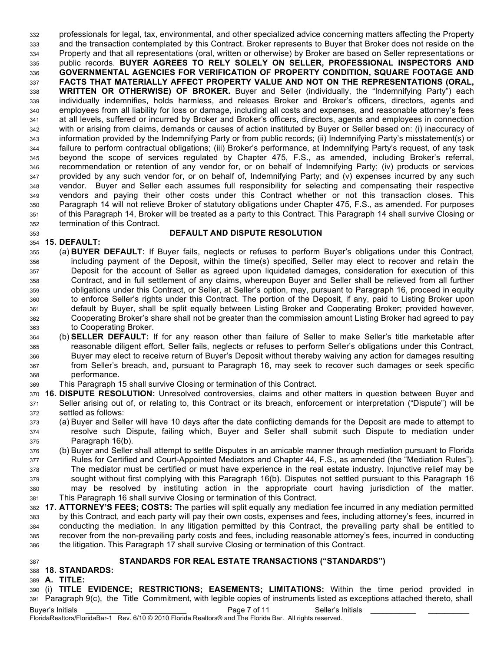professionals for legal, tax, environmental, and other specialized advice concerning matters affecting the Property and the transaction contemplated by this Contract. Broker represents to Buyer that Broker does not reside on the Property and that all representations (oral, written or otherwise) by Broker are based on Seller representations or public records. **BUYER AGREES TO RELY SOLELY ON SELLER, PROFESSIONAL INSPECTORS AND GOVERNMENTAL AGENCIES FOR VERIFICATION OF PROPERTY CONDITION, SQUARE FOOTAGE AND FACTS THAT MATERIALLY AFFECT PROPERTY VALUE AND NOT ON THE REPRESENTATIONS (ORAL, WRITTEN OR OTHERWISE) OF BROKER.** Buyer and Seller (individually, the "Indemnifying Party") each individually indemnifies, holds harmless, and releases Broker and Broker's officers, directors, agents and employees from all liability for loss or damage, including all costs and expenses, and reasonable attorney's fees at all levels, suffered or incurred by Broker and Broker's officers, directors, agents and employees in connection with or arising from claims, demands or causes of action instituted by Buyer or Seller based on: (i) inaccuracy of information provided by the Indemnifying Party or from public records; (ii) Indemnifying Party's misstatement(s) or failure to perform contractual obligations; (iii) Broker's performance, at Indemnifying Party's request, of any task beyond the scope of services regulated by Chapter 475, F.S., as amended, including Broker's referral, recommendation or retention of any vendor for, or on behalf of Indemnifying Party; (iv) products or services provided by any such vendor for, or on behalf of, Indemnifying Party; and (v) expenses incurred by any such vendor. Buyer and Seller each assumes full responsibility for selecting and compensating their respective vendors and paying their other costs under this Contract whether or not this transaction closes. This Paragraph 14 will not relieve Broker of statutory obligations under Chapter 475, F.S., as amended. For purposes of this Paragraph 14, Broker will be treated as a party to this Contract. This Paragraph 14 shall survive Closing or termination of this Contract.

## **DEFAULT AND DISPUTE RESOLUTION**

## **15. DEFAULT:**

- (a) **BUYER DEFAULT:** If Buyer fails, neglects or refuses to perform Buyer's obligations under this Contract, including payment of the Deposit, within the time(s) specified, Seller may elect to recover and retain the Deposit for the account of Seller as agreed upon liquidated damages, consideration for execution of this Contract, and in full settlement of any claims, whereupon Buyer and Seller shall be relieved from all further obligations under this Contract, or Seller, at Seller's option, may, pursuant to Paragraph 16, proceed in equity to enforce Seller's rights under this Contract. The portion of the Deposit, if any, paid to Listing Broker upon default by Buyer, shall be split equally between Listing Broker and Cooperating Broker; provided however, Cooperating Broker's share shall not be greater than the commission amount Listing Broker had agreed to pay to Cooperating Broker.
- (b) **SELLER DEFAULT:** If for any reason other than failure of Seller to make Seller's title marketable after reasonable diligent effort, Seller fails, neglects or refuses to perform Seller's obligations under this Contract, Buyer may elect to receive return of Buyer's Deposit without thereby waiving any action for damages resulting from Seller's breach, and, pursuant to Paragraph 16, may seek to recover such damages or seek specific performance.
- This Paragraph 15 shall survive Closing or termination of this Contract.
- **16. DISPUTE RESOLUTION:** Unresolved controversies, claims and other matters in question between Buyer and Seller arising out of, or relating to, this Contract or its breach, enforcement or interpretation ("Dispute") will be settled as follows:
- (a) Buyer and Seller will have 10 days after the date conflicting demands for the Deposit are made to attempt to resolve such Dispute, failing which, Buyer and Seller shall submit such Dispute to mediation under Paragraph 16(b).
- (b) Buyer and Seller shall attempt to settle Disputes in an amicable manner through mediation pursuant to Florida Rules for Certified and Court-Appointed Mediators and Chapter 44, F.S., as amended (the "Mediation Rules"). The mediator must be certified or must have experience in the real estate industry. Injunctive relief may be sought without first complying with this Paragraph 16(b). Disputes not settled pursuant to this Paragraph 16 may be resolved by instituting action in the appropriate court having jurisdiction of the matter.
- This Paragraph 16 shall survive Closing or termination of this Contract.
- **17. ATTORNEY'S FEES; COSTS:** The parties will split equally any mediation fee incurred in any mediation permitted by this Contract, and each party will pay their own costs, expenses and fees, including attorney's fees, incurred in conducting the mediation. In any litigation permitted by this Contract, the prevailing party shall be entitled to recover from the non-prevailing party costs and fees, including reasonable attorney's fees, incurred in conducting the litigation. This Paragraph 17 shall survive Closing or termination of this Contract.
- 

## **STANDARDS FOR REAL ESTATE TRANSACTIONS ("STANDARDS")**

## **18. STANDARDS:**

#### **A. TITLE:**

 (i) **TITLE EVIDENCE; RESTRICTIONS; EASEMENTS; LIMITATIONS:** Within the time period provided in Paragraph 9(c), the Title Commitment, with legible copies of instruments listed as exceptions attached thereto, shall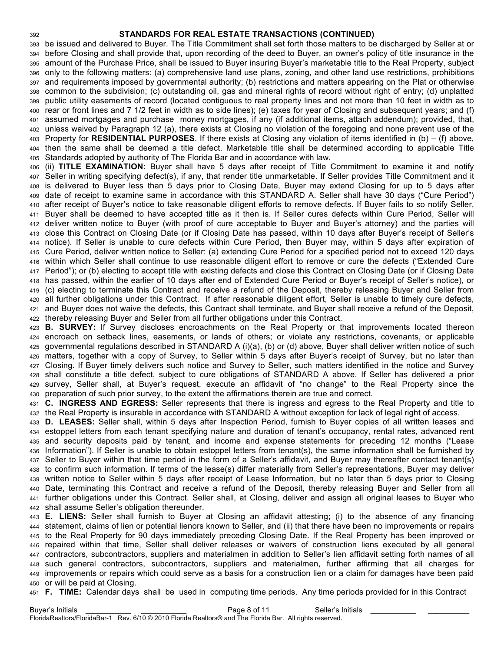#### **STANDARDS FOR REAL ESTATE TRANSACTIONS (CONTINUED)**

 be issued and delivered to Buyer. The Title Commitment shall set forth those matters to be discharged by Seller at or before Closing and shall provide that, upon recording of the deed to Buyer, an owner's policy of title insurance in the amount of the Purchase Price, shall be issued to Buyer insuring Buyer's marketable title to the Real Property, subject only to the following matters: (a) comprehensive land use plans, zoning, and other land use restrictions, prohibitions and requirements imposed by governmental authority; (b) restrictions and matters appearing on the Plat or otherwise common to the subdivision; (c) outstanding oil, gas and mineral rights of record without right of entry; (d) unplatted public utility easements of record (located contiguous to real property lines and not more than 10 feet in width as to rear or front lines and 7 1/2 feet in width as to side lines); (e) taxes for year of Closing and subsequent years; and (f) assumed mortgages and purchase money mortgages, if any (if additional items, attach addendum); provided, that, unless waived by Paragraph 12 (a), there exists at Closing no violation of the foregoing and none prevent use of the Property for **RESIDENTIAL PURPOSES**. If there exists at Closing any violation of items identified in (b) – (f) above, then the same shall be deemed a title defect. Marketable title shall be determined according to applicable Title Standards adopted by authority of The Florida Bar and in accordance with law.

 (ii) **TITLE EXAMINATION:** Buyer shall have 5 days after receipt of Title Commitment to examine it and notify Seller in writing specifying defect(s), if any, that render title unmarketable. If Seller provides Title Commitment and it is delivered to Buyer less than 5 days prior to Closing Date, Buyer may extend Closing for up to 5 days after date of receipt to examine same in accordance with this STANDARD A. Seller shall have 30 days ("Cure Period") after receipt of Buyer's notice to take reasonable diligent efforts to remove defects. If Buyer fails to so notify Seller, Buyer shall be deemed to have accepted title as it then is. If Seller cures defects within Cure Period, Seller will deliver written notice to Buyer (with proof of cure acceptable to Buyer and Buyer's attorney) and the parties will close this Contract on Closing Date (or if Closing Date has passed, within 10 days after Buyer's receipt of Seller's notice). If Seller is unable to cure defects within Cure Period, then Buyer may, within 5 days after expiration of Cure Period, deliver written notice to Seller: (a) extending Cure Period for a specified period not to exceed 120 days within which Seller shall continue to use reasonable diligent effort to remove or cure the defects ("Extended Cure Period"); or (b) electing to accept title with existing defects and close this Contract on Closing Date (or if Closing Date has passed, within the earlier of 10 days after end of Extended Cure Period or Buyer's receipt of Seller's notice), or (c) electing to terminate this Contract and receive a refund of the Deposit, thereby releasing Buyer and Seller from all further obligations under this Contract. If after reasonable diligent effort, Seller is unable to timely cure defects, and Buyer does not waive the defects, this Contract shall terminate, and Buyer shall receive a refund of the Deposit, thereby releasing Buyer and Seller from all further obligations under this Contract.

 **B. SURVEY:** If Survey discloses encroachments on the Real Property or that improvements located thereon encroach on setback lines, easements, or lands of others; or violate any restrictions, covenants, or applicable governmental regulations described in STANDARD A (i)(a), (b) or (d) above, Buyer shall deliver written notice of such matters, together with a copy of Survey, to Seller within 5 days after Buyer's receipt of Survey, but no later than Closing. If Buyer timely delivers such notice and Survey to Seller, such matters identified in the notice and Survey shall constitute a title defect, subject to cure obligations of STANDARD A above. If Seller has delivered a prior survey, Seller shall, at Buyer's request, execute an affidavit of "no change" to the Real Property since the preparation of such prior survey, to the extent the affirmations therein are true and correct.

 **C. INGRESS AND EGRESS:** Seller represents that there is ingress and egress to the Real Property and title to the Real Property is insurable in accordance with STANDARD A without exception for lack of legal right of access.

 **D. LEASES:** Seller shall, within 5 days after Inspection Period, furnish to Buyer copies of all written leases and estoppel letters from each tenant specifying nature and duration of tenant's occupancy, rental rates, advanced rent and security deposits paid by tenant, and income and expense statements for preceding 12 months ("Lease Information"). If Seller is unable to obtain estoppel letters from tenant(s), the same information shall be furnished by Seller to Buyer within that time period in the form of a Seller's affidavit, and Buyer may thereafter contact tenant(s) to confirm such information. If terms of the lease(s) differ materially from Seller's representations, Buyer may deliver written notice to Seller within 5 days after receipt of Lease Information, but no later than 5 days prior to Closing Date, terminating this Contract and receive a refund of the Deposit, thereby releasing Buyer and Seller from all further obligations under this Contract. Seller shall, at Closing, deliver and assign all original leases to Buyer who shall assume Seller's obligation thereunder.

 **E. LIENS:** Seller shall furnish to Buyer at Closing an affidavit attesting; (i) to the absence of any financing statement, claims of lien or potential lienors known to Seller, and (ii) that there have been no improvements or repairs to the Real Property for 90 days immediately preceding Closing Date. If the Real Property has been improved or repaired within that time, Seller shall deliver releases or waivers of construction liens executed by all general contractors, subcontractors, suppliers and materialmen in addition to Seller's lien affidavit setting forth names of all such general contractors, subcontractors, suppliers and materialmen, further affirming that all charges for improvements or repairs which could serve as a basis for a construction lien or a claim for damages have been paid or will be paid at Closing.

**F. TIME:** Calendar days shall be used in computing time periods. Any time periods provided for in this Contract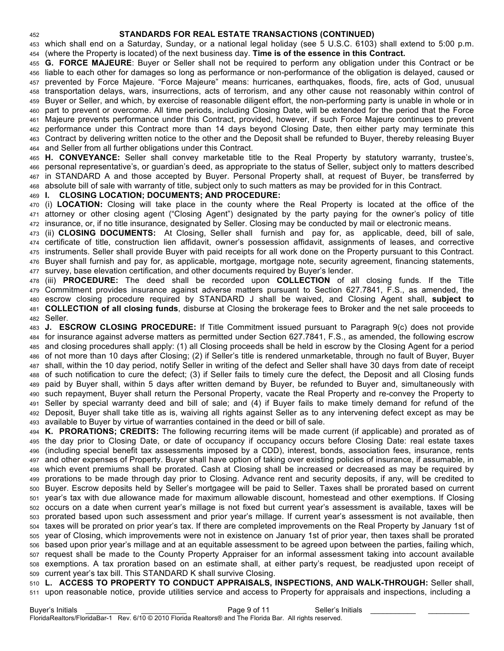#### **STANDARDS FOR REAL ESTATE TRANSACTIONS (CONTINUED)**

 which shall end on a Saturday, Sunday, or a national legal holiday (see 5 U.S.C. 6103) shall extend to 5:00 p.m. (where the Property is located) of the next business day. **Time is of the essence in this Contract.**

 **G. FORCE MAJEURE**: Buyer or Seller shall not be required to perform any obligation under this Contract or be liable to each other for damages so long as performance or non-performance of the obligation is delayed, caused or prevented by Force Majeure. "Force Majeure" means: hurricanes, earthquakes, floods, fire, acts of God, unusual transportation delays, wars, insurrections, acts of terrorism, and any other cause not reasonably within control of Buyer or Seller, and which, by exercise of reasonable diligent effort, the non-performing party is unable in whole or in part to prevent or overcome. All time periods, including Closing Date, will be extended for the period that the Force Majeure prevents performance under this Contract, provided, however, if such Force Majeure continues to prevent performance under this Contract more than 14 days beyond Closing Date, then either party may terminate this Contract by delivering written notice to the other and the Deposit shall be refunded to Buyer, thereby releasing Buyer and Seller from all further obligations under this Contract.

 **H. CONVEYANCE:** Seller shall convey marketable title to the Real Property by statutory warranty, trustee's, personal representative's, or guardian's deed, as appropriate to the status of Seller, subject only to matters described in STANDARD A and those accepted by Buyer. Personal Property shall, at request of Buyer, be transferred by absolute bill of sale with warranty of title, subject only to such matters as may be provided for in this Contract.

**I. CLOSING LOCATION; DOCUMENTS; AND PROCEDURE:**

 (i) **LOCATION:** Closing will take place in the county where the Real Property is located at the office of the attorney or other closing agent ("Closing Agent") designated by the party paying for the owner's policy of title insurance, or, if no title insurance, designated by Seller. Closing may be conducted by mail or electronic means.

 (ii) **CLOSING DOCUMENTS:** At Closing, Seller shall furnish and pay for, as applicable, deed, bill of sale, certificate of title, construction lien affidavit, owner's possession affidavit, assignments of leases, and corrective instruments. Seller shall provide Buyer with paid receipts for all work done on the Property pursuant to this Contract. Buyer shall furnish and pay for, as applicable, mortgage, mortgage note, security agreement, financing statements, survey, base elevation certification, and other documents required by Buyer's lender.

 (iii) **PROCEDURE:** The deed shall be recorded upon **COLLECTION** of all closing funds. If the Title Commitment provides insurance against adverse matters pursuant to Section 627.7841, F.S., as amended, the escrow closing procedure required by STANDARD J shall be waived, and Closing Agent shall, **subject to COLLECTION of all closing funds**, disburse at Closing the brokerage fees to Broker and the net sale proceeds to Seller.

 **J. ESCROW CLOSING PROCEDURE:** If Title Commitment issued pursuant to Paragraph 9(c) does not provide for insurance against adverse matters as permitted under Section 627.7841, F.S., as amended, the following escrow and closing procedures shall apply: (1) all Closing proceeds shall be held in escrow by the Closing Agent for a period of not more than 10 days after Closing; (2) if Seller's title is rendered unmarketable, through no fault of Buyer, Buyer shall, within the 10 day period, notify Seller in writing of the defect and Seller shall have 30 days from date of receipt of such notification to cure the defect; (3) if Seller fails to timely cure the defect, the Deposit and all Closing funds paid by Buyer shall, within 5 days after written demand by Buyer, be refunded to Buyer and, simultaneously with such repayment, Buyer shall return the Personal Property, vacate the Real Property and re-convey the Property to Seller by special warranty deed and bill of sale; and (4) if Buyer fails to make timely demand for refund of the Deposit, Buyer shall take title as is, waiving all rights against Seller as to any intervening defect except as may be available to Buyer by virtue of warranties contained in the deed or bill of sale.

 **K. PRORATIONS; CREDITS:** The following recurring items will be made current (if applicable) and prorated as of the day prior to Closing Date, or date of occupancy if occupancy occurs before Closing Date: real estate taxes (including special benefit tax assessments imposed by a CDD), interest, bonds, association fees, insurance, rents and other expenses of Property. Buyer shall have option of taking over existing policies of insurance, if assumable, in which event premiums shall be prorated. Cash at Closing shall be increased or decreased as may be required by prorations to be made through day prior to Closing. Advance rent and security deposits, if any, will be credited to Buyer. Escrow deposits held by Seller's mortgagee will be paid to Seller. Taxes shall be prorated based on current year's tax with due allowance made for maximum allowable discount, homestead and other exemptions. If Closing occurs on a date when current year's millage is not fixed but current year's assessment is available, taxes will be prorated based upon such assessment and prior year's millage. If current year's assessment is not available, then taxes will be prorated on prior year's tax. If there are completed improvements on the Real Property by January 1st of year of Closing, which improvements were not in existence on January 1st of prior year, then taxes shall be prorated based upon prior year's millage and at an equitable assessment to be agreed upon between the parties, failing which, request shall be made to the County Property Appraiser for an informal assessment taking into account available exemptions. A tax proration based on an estimate shall, at either party's request, be readjusted upon receipt of current year's tax bill. This STANDARD K shall survive Closing.

 **L. ACCESS TO PROPERTY TO CONDUCT APPRAISALS, INSPECTIONS, AND WALK-THROUGH:** Seller shall, upon reasonable notice, provide utilities service and access to Property for appraisals and inspections, including a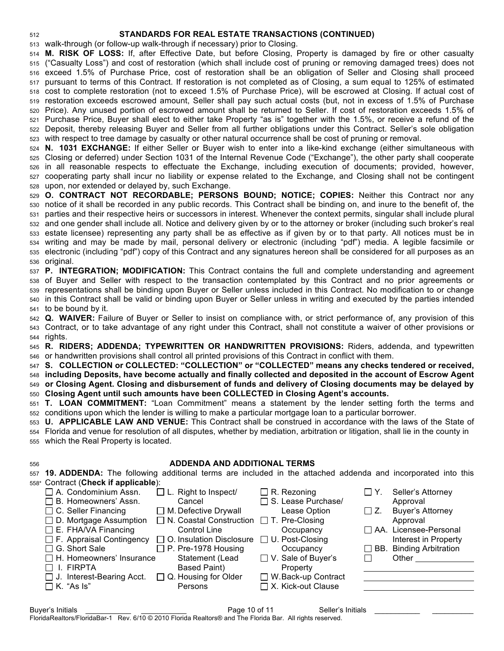#### **STANDARDS FOR REAL ESTATE TRANSACTIONS (CONTINUED)**

walk-through (or follow-up walk-through if necessary) prior to Closing.

 **M. RISK OF LOSS:** If, after Effective Date, but before Closing, Property is damaged by fire or other casualty ("Casualty Loss") and cost of restoration (which shall include cost of pruning or removing damaged trees) does not exceed 1.5% of Purchase Price, cost of restoration shall be an obligation of Seller and Closing shall proceed pursuant to terms of this Contract. If restoration is not completed as of Closing, a sum equal to 125% of estimated cost to complete restoration (not to exceed 1.5% of Purchase Price), will be escrowed at Closing. If actual cost of restoration exceeds escrowed amount, Seller shall pay such actual costs (but, not in excess of 1.5% of Purchase Price). Any unused portion of escrowed amount shall be returned to Seller. If cost of restoration exceeds 1.5% of Purchase Price, Buyer shall elect to either take Property "as is" together with the 1.5%, or receive a refund of the Deposit, thereby releasing Buyer and Seller from all further obligations under this Contract. Seller's sole obligation with respect to tree damage by casualty or other natural occurrence shall be cost of pruning or removal.

 **N. 1031 EXCHANGE:** If either Seller or Buyer wish to enter into a like-kind exchange (either simultaneous with Closing or deferred) under Section 1031 of the Internal Revenue Code ("Exchange"), the other party shall cooperate in all reasonable respects to effectuate the Exchange, including execution of documents; provided, however, cooperating party shall incur no liability or expense related to the Exchange, and Closing shall not be contingent upon, nor extended or delayed by, such Exchange.

 **O. CONTRACT NOT RECORDABLE; PERSONS BOUND; NOTICE; COPIES:** Neither this Contract nor any notice of it shall be recorded in any public records. This Contract shall be binding on, and inure to the benefit of, the parties and their respective heirs or successors in interest. Whenever the context permits, singular shall include plural and one gender shall include all. Notice and delivery given by or to the attorney or broker (including such broker's real estate licensee) representing any party shall be as effective as if given by or to that party. All notices must be in writing and may be made by mail, personal delivery or electronic (including "pdf") media. A legible facsimile or electronic (including "pdf") copy of this Contract and any signatures hereon shall be considered for all purposes as an original.

 **P. INTEGRATION; MODIFICATION:** This Contract contains the full and complete understanding and agreement of Buyer and Seller with respect to the transaction contemplated by this Contract and no prior agreements or representations shall be binding upon Buyer or Seller unless included in this Contract. No modification to or change in this Contract shall be valid or binding upon Buyer or Seller unless in writing and executed by the parties intended to be bound by it.

 **Q. WAIVER:** Failure of Buyer or Seller to insist on compliance with, or strict performance of, any provision of this Contract, or to take advantage of any right under this Contract, shall not constitute a waiver of other provisions or rights.

 **R. RIDERS; ADDENDA; TYPEWRITTEN OR HANDWRITTEN PROVISIONS:** Riders, addenda, and typewritten or handwritten provisions shall control all printed provisions of this Contract in conflict with them.

 **S. COLLECTION or COLLECTED: "COLLECTION" or "COLLECTED" means any checks tendered or received, including Deposits, have become actually and finally collected and deposited in the account of Escrow Agent or Closing Agent. Closing and disbursement of funds and delivery of Closing documents may be delayed by Closing Agent until such amounts have been COLLECTED in Closing Agent's accounts.**

 **T. LOAN COMMITMENT:** "Loan Commitment" means a statement by the lender setting forth the terms and conditions upon which the lender is willing to make a particular mortgage loan to a particular borrower.

 **U. APPLICABLE LAW AND VENUE:** This Contract shall be construed in accordance with the laws of the State of Florida and venue for resolution of all disputes, whether by mediation, arbitration or litigation, shall lie in the county in

which the Real Property is located.

| 556 | <b>ADDENDA AND ADDITIONAL TERMS</b>                                                                                    |                                 |                            |             |                                |
|-----|------------------------------------------------------------------------------------------------------------------------|---------------------------------|----------------------------|-------------|--------------------------------|
|     | 557 <b>19. ADDENDA:</b> The following additional terms are included in the attached addenda and incorporated into this |                                 |                            |             |                                |
|     | 558* Contract (Check if applicable):                                                                                   |                                 |                            |             |                                |
|     | □ A. Condominium Assn.                                                                                                 | $\Box$ L. Right to Inspect/     | $\Box$ R. Rezoning         | $\Box$ Y.   | Seller's Attorney              |
|     | $\sqcap$ B. Homeowners' Assn.                                                                                          | Cancel                          | $\Box$ S. Lease Purchase/  |             | Approval                       |
|     | $\Box$ C. Seller Financing                                                                                             | $\Box$ M. Defective Drywall     | Lease Option               | $\sqcup$ Z. | <b>Buyer's Attorney</b>        |
|     | $\Box$ D. Mortgage Assumption                                                                                          | $\Box$ N. Coastal Construction  | $\Box$ T. Pre-Closing      |             | Approval                       |
|     | $\Box$ E. FHA/VA Financing                                                                                             | Control Line                    | Occupancy                  |             | □ AA. Licensee-Personal        |
|     | $\Box$ F. Appraisal Contingency                                                                                        | $\Box$ O. Insulation Disclosure | $\Box$ U. Post-Closing     |             | Interest in Property           |
|     | $\sqcap$ G. Short Sale                                                                                                 | $\Box$ P. Pre-1978 Housing      | Occupancy                  |             | $\Box$ BB. Binding Arbitration |
|     | $\Box$ H. Homeowners' Insurance                                                                                        | Statement (Lead                 | $\Box$ V. Sale of Buyer's  |             | Other                          |
|     | $\Box$ I. FIRPTA                                                                                                       | Based Paint)                    | Property                   |             |                                |
|     | $\Box$ J. Interest-Bearing Acct.                                                                                       | $\Box$ Q. Housing for Older     | $\Box$ W. Back-up Contract |             |                                |
|     | $\Box$ K. "As Is"                                                                                                      | Persons                         | $\Box$ X. Kick-out Clause  |             |                                |
|     |                                                                                                                        |                                 |                            |             |                                |